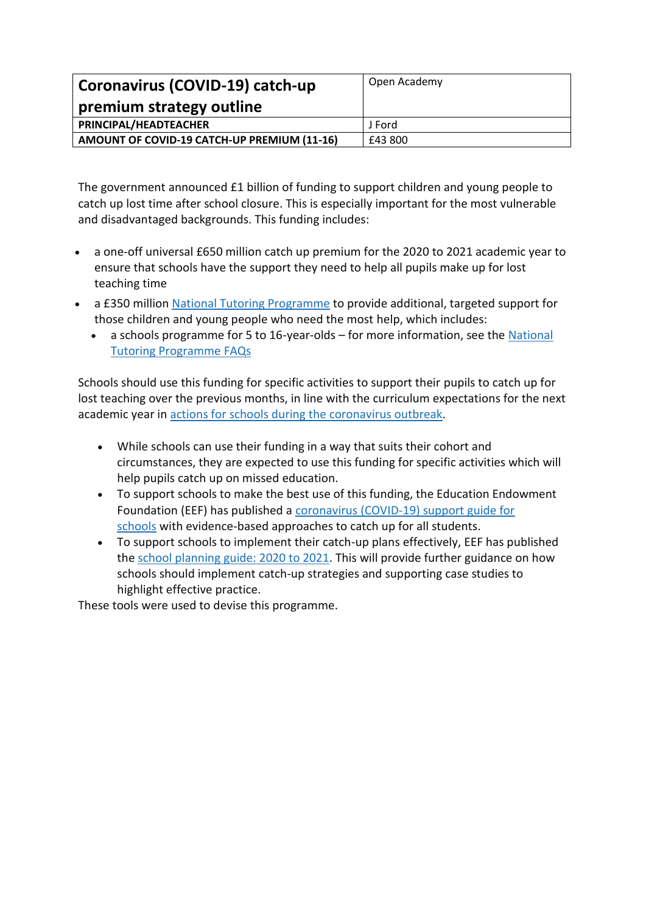| Coronavirus (COVID-19) catch-up             | Open Academy |  |  |
|---------------------------------------------|--------------|--|--|
| premium strategy outline                    |              |  |  |
| PRINCIPAL/HEADTEACHER                       | J Ford       |  |  |
| AMOUNT OF COVID-19 CATCH-UP PREMIUM (11-16) | £43 800      |  |  |
|                                             |              |  |  |

The government announced £1 billion of funding to support children and young people to catch up lost time after school closure. This is especially important for the most vulnerable and disadvantaged backgrounds. This funding includes:

- a one-off universal £650 million catch up premium for the 2020 to 2021 academic year to ensure that schools have the support they need to help all pupils make up for lost teaching time
- a £350 million National Tutoring [Programme](https://nationaltutoring.org.uk/) to provide additional, targeted support for those children and young people who need the most help, which includes:
	- a schools programme for 5 to 16-year-olds for more information, see the [National](https://nationaltutoring.org.uk/faqs) Tutoring [Programme](https://nationaltutoring.org.uk/faqs) FAQs

Schools should use this funding for specific activities to support their pupils to catch up for lost teaching over the previous months, in line with the curriculum expectations for the next academic year in actions for schools during the [coronavirus](https://www.gov.uk/government/publications/actions-for-schools-during-the-coronavirus-outbreak/guidance-for-full-opening-schools#section-3-curriculum-behaviour-and-pastoral-support) outbreak.

- While schools can use their funding in a way that suits their cohort and circumstances, they are expected to use this funding for specific activities which will help pupils catch up on missed education.
- To support schools to make the best use of this funding, the Education Endowment Foundation (EEF) has published a [coronavirus](https://educationendowmentfoundation.org.uk/covid-19-resources/covid-19-support-guide-for-schools/#nav-covid-19-support-guide-for-schools1) (COVID-19) support guide for [schools](https://educationendowmentfoundation.org.uk/covid-19-resources/covid-19-support-guide-for-schools/#nav-covid-19-support-guide-for-schools1) with evidence-based approaches to catch up for all students.
- To support schools to implement their catch-up plans effectively, EEF has published the school [planning](https://educationendowmentfoundation.org.uk/covid-19-resources/guide-to-supporting-schools-planning/) guide: 2020 to 2021. This will provide further guidance on how schools should implement catch-up strategies and supporting case studies to highlight effective practice.

These tools were used to devise this programme.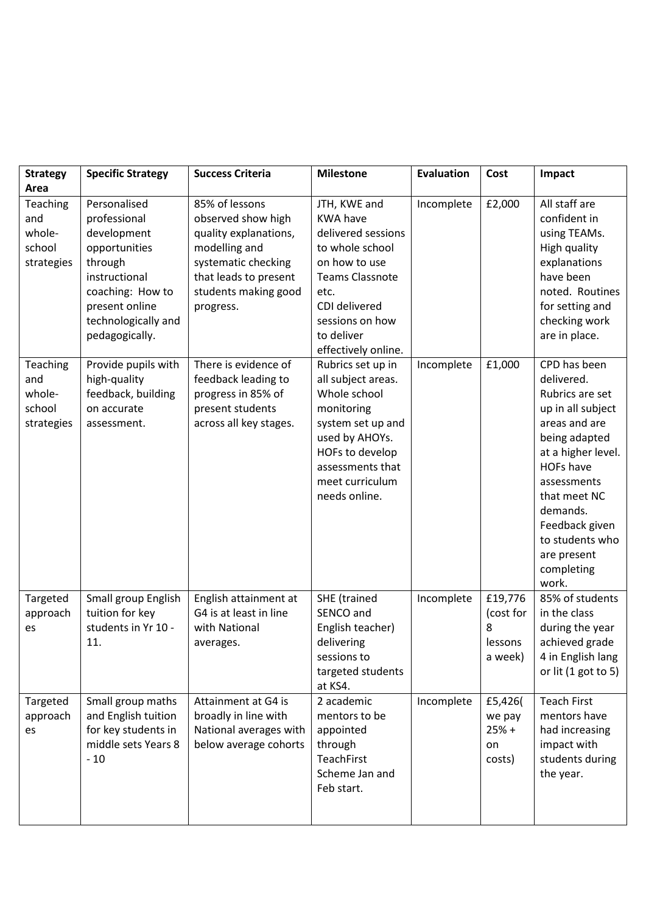| <b>Strategy</b>                                          | <b>Specific Strategy</b>                                                                                                                                                | <b>Success Criteria</b>                                                                                                                                             | <b>Milestone</b>                                                                                                                                                                                     | <b>Evaluation</b> | Cost                                            | Impact                                                                                                                                                                                                                                                               |
|----------------------------------------------------------|-------------------------------------------------------------------------------------------------------------------------------------------------------------------------|---------------------------------------------------------------------------------------------------------------------------------------------------------------------|------------------------------------------------------------------------------------------------------------------------------------------------------------------------------------------------------|-------------------|-------------------------------------------------|----------------------------------------------------------------------------------------------------------------------------------------------------------------------------------------------------------------------------------------------------------------------|
| Area                                                     |                                                                                                                                                                         |                                                                                                                                                                     |                                                                                                                                                                                                      |                   |                                                 |                                                                                                                                                                                                                                                                      |
| <b>Teaching</b><br>and<br>whole-<br>school<br>strategies | Personalised<br>professional<br>development<br>opportunities<br>through<br>instructional<br>coaching: How to<br>present online<br>technologically and<br>pedagogically. | 85% of lessons<br>observed show high<br>quality explanations,<br>modelling and<br>systematic checking<br>that leads to present<br>students making good<br>progress. | JTH, KWE and<br><b>KWA have</b><br>delivered sessions<br>to whole school<br>on how to use<br><b>Teams Classnote</b><br>etc.<br>CDI delivered<br>sessions on how<br>to deliver<br>effectively online. | Incomplete        | £2,000                                          | All staff are<br>confident in<br>using TEAMs.<br>High quality<br>explanations<br>have been<br>noted. Routines<br>for setting and<br>checking work<br>are in place.                                                                                                   |
| Teaching<br>and<br>whole-<br>school<br>strategies        | Provide pupils with<br>high-quality<br>feedback, building<br>on accurate<br>assessment.                                                                                 | There is evidence of<br>feedback leading to<br>progress in 85% of<br>present students<br>across all key stages.                                                     | Rubrics set up in<br>all subject areas.<br>Whole school<br>monitoring<br>system set up and<br>used by AHOYs.<br>HOFs to develop<br>assessments that<br>meet curriculum<br>needs online.              | Incomplete        | £1,000                                          | CPD has been<br>delivered.<br>Rubrics are set<br>up in all subject<br>areas and are<br>being adapted<br>at a higher level.<br><b>HOFs have</b><br>assessments<br>that meet NC<br>demands.<br>Feedback given<br>to students who<br>are present<br>completing<br>work. |
| Targeted<br>approach<br>es                               | Small group English<br>tuition for key<br>students in Yr 10 -<br>11.                                                                                                    | English attainment at<br>G4 is at least in line<br>with National<br>averages.                                                                                       | SHE (trained<br>SENCO and<br>English teacher)<br>delivering<br>sessions to<br>targeted students<br>at KS4.                                                                                           | Incomplete        | £19,776<br>(cost for<br>8<br>lessons<br>a week) | 85% of students<br>in the class<br>during the year<br>achieved grade<br>4 in English lang<br>or lit $(1$ got to 5)                                                                                                                                                   |
| Targeted<br>approach<br>es                               | Small group maths<br>and English tuition<br>for key students in<br>middle sets Years 8<br>$-10$                                                                         | Attainment at G4 is<br>broadly in line with<br>National averages with<br>below average cohorts                                                                      | 2 academic<br>mentors to be<br>appointed<br>through<br>TeachFirst<br>Scheme Jan and<br>Feb start.                                                                                                    | Incomplete        | £5,426(<br>we pay<br>$25% +$<br>on<br>costs)    | <b>Teach First</b><br>mentors have<br>had increasing<br>impact with<br>students during<br>the year.                                                                                                                                                                  |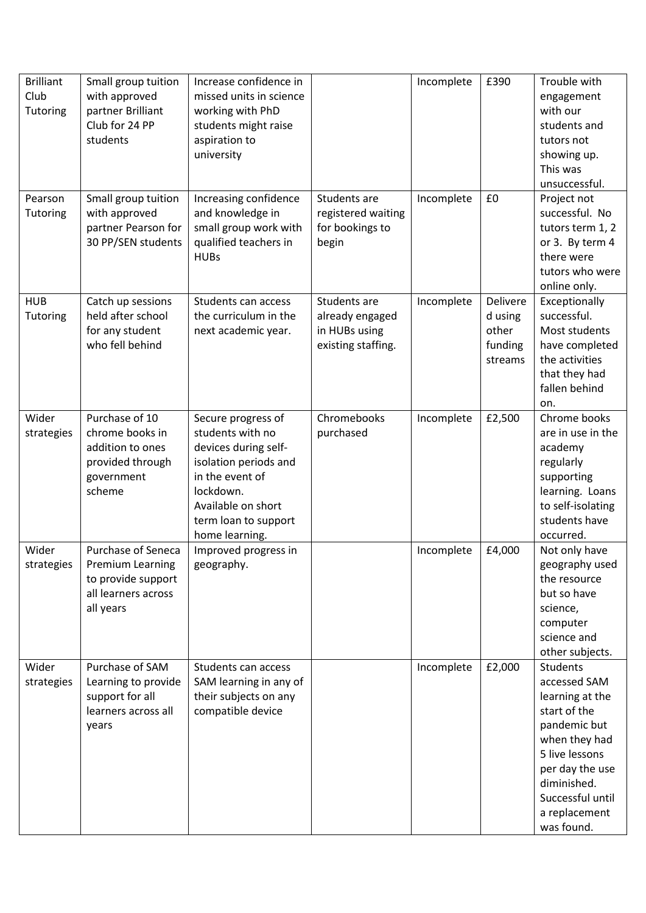| <b>Brilliant</b> | Small group tuition       | Increase confidence in  |                    | Incomplete | £390     | Trouble with      |
|------------------|---------------------------|-------------------------|--------------------|------------|----------|-------------------|
| Club             | with approved             | missed units in science |                    |            |          | engagement        |
| Tutoring         | partner Brilliant         | working with PhD        |                    |            |          | with our          |
|                  | Club for 24 PP            | students might raise    |                    |            |          | students and      |
|                  | students                  | aspiration to           |                    |            |          | tutors not        |
|                  |                           | university              |                    |            |          | showing up.       |
|                  |                           |                         |                    |            |          | This was          |
|                  |                           |                         |                    |            |          | unsuccessful.     |
| Pearson          | Small group tuition       | Increasing confidence   | Students are       | Incomplete | £0       | Project not       |
| Tutoring         | with approved             | and knowledge in        | registered waiting |            |          | successful. No    |
|                  | partner Pearson for       | small group work with   | for bookings to    |            |          | tutors term 1, 2  |
|                  | 30 PP/SEN students        | qualified teachers in   | begin              |            |          | or 3. By term 4   |
|                  |                           | <b>HUBs</b>             |                    |            |          | there were        |
|                  |                           |                         |                    |            |          | tutors who were   |
|                  |                           |                         |                    |            |          |                   |
|                  |                           |                         |                    |            |          | online only.      |
| <b>HUB</b>       | Catch up sessions         | Students can access     | Students are       | Incomplete | Delivere | Exceptionally     |
| Tutoring         | held after school         | the curriculum in the   | already engaged    |            | d using  | successful.       |
|                  | for any student           | next academic year.     | in HUBs using      |            | other    | Most students     |
|                  | who fell behind           |                         | existing staffing. |            | funding  | have completed    |
|                  |                           |                         |                    |            | streams  | the activities    |
|                  |                           |                         |                    |            |          | that they had     |
|                  |                           |                         |                    |            |          | fallen behind     |
|                  |                           |                         |                    |            |          | on.               |
| Wider            | Purchase of 10            | Secure progress of      | Chromebooks        | Incomplete | £2,500   | Chrome books      |
| strategies       | chrome books in           | students with no        | purchased          |            |          | are in use in the |
|                  | addition to ones          | devices during self-    |                    |            |          | academy           |
|                  | provided through          | isolation periods and   |                    |            |          | regularly         |
|                  | government                | in the event of         |                    |            |          | supporting        |
|                  | scheme                    | lockdown.               |                    |            |          | learning. Loans   |
|                  |                           | Available on short      |                    |            |          | to self-isolating |
|                  |                           | term loan to support    |                    |            |          | students have     |
|                  |                           | home learning.          |                    |            |          | occurred.         |
| Wider            | <b>Purchase of Seneca</b> | Improved progress in    |                    | Incomplete | £4,000   | Not only have     |
| strategies       | <b>Premium Learning</b>   | geography.              |                    |            |          | geography used    |
|                  | to provide support        |                         |                    |            |          | the resource      |
|                  | all learners across       |                         |                    |            |          | but so have       |
|                  | all years                 |                         |                    |            |          | science,          |
|                  |                           |                         |                    |            |          | computer          |
|                  |                           |                         |                    |            |          | science and       |
|                  |                           |                         |                    |            |          | other subjects.   |
| Wider            | Purchase of SAM           | Students can access     |                    | Incomplete | £2,000   | <b>Students</b>   |
| strategies       | Learning to provide       | SAM learning in any of  |                    |            |          | accessed SAM      |
|                  | support for all           | their subjects on any   |                    |            |          | learning at the   |
|                  | learners across all       | compatible device       |                    |            |          | start of the      |
|                  | years                     |                         |                    |            |          | pandemic but      |
|                  |                           |                         |                    |            |          | when they had     |
|                  |                           |                         |                    |            |          | 5 live lessons    |
|                  |                           |                         |                    |            |          | per day the use   |
|                  |                           |                         |                    |            |          | diminished.       |
|                  |                           |                         |                    |            |          | Successful until  |
|                  |                           |                         |                    |            |          | a replacement     |
|                  |                           |                         |                    |            |          | was found.        |